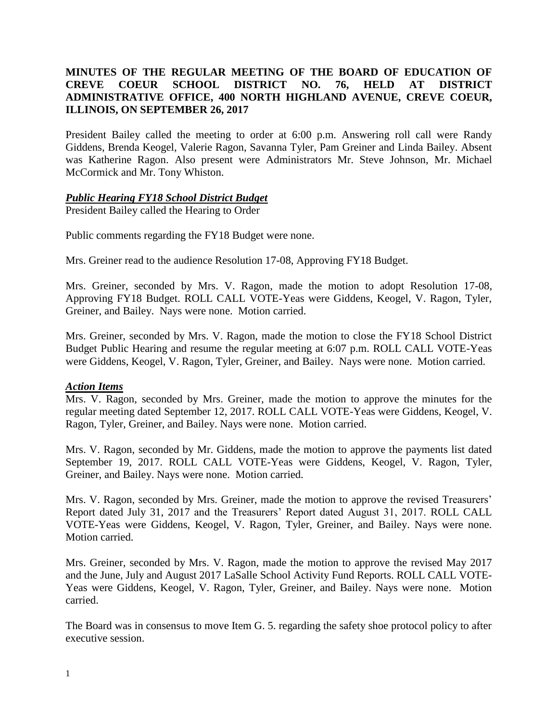# **MINUTES OF THE REGULAR MEETING OF THE BOARD OF EDUCATION OF CREVE COEUR SCHOOL DISTRICT NO. 76, HELD AT DISTRICT ADMINISTRATIVE OFFICE, 400 NORTH HIGHLAND AVENUE, CREVE COEUR, ILLINOIS, ON SEPTEMBER 26, 2017**

President Bailey called the meeting to order at 6:00 p.m. Answering roll call were Randy Giddens, Brenda Keogel, Valerie Ragon, Savanna Tyler, Pam Greiner and Linda Bailey. Absent was Katherine Ragon. Also present were Administrators Mr. Steve Johnson, Mr. Michael McCormick and Mr. Tony Whiston.

## *Public Hearing FY18 School District Budget*

President Bailey called the Hearing to Order

Public comments regarding the FY18 Budget were none.

Mrs. Greiner read to the audience Resolution 17-08, Approving FY18 Budget.

Mrs. Greiner, seconded by Mrs. V. Ragon, made the motion to adopt Resolution 17-08, Approving FY18 Budget. ROLL CALL VOTE-Yeas were Giddens, Keogel, V. Ragon, Tyler, Greiner, and Bailey. Nays were none. Motion carried.

Mrs. Greiner, seconded by Mrs. V. Ragon, made the motion to close the FY18 School District Budget Public Hearing and resume the regular meeting at 6:07 p.m. ROLL CALL VOTE-Yeas were Giddens, Keogel, V. Ragon, Tyler, Greiner, and Bailey. Nays were none. Motion carried.

### *Action Items*

Mrs. V. Ragon, seconded by Mrs. Greiner, made the motion to approve the minutes for the regular meeting dated September 12, 2017. ROLL CALL VOTE-Yeas were Giddens, Keogel, V. Ragon, Tyler, Greiner, and Bailey. Nays were none. Motion carried.

Mrs. V. Ragon, seconded by Mr. Giddens, made the motion to approve the payments list dated September 19, 2017. ROLL CALL VOTE-Yeas were Giddens, Keogel, V. Ragon, Tyler, Greiner, and Bailey. Nays were none. Motion carried.

Mrs. V. Ragon, seconded by Mrs. Greiner, made the motion to approve the revised Treasurers' Report dated July 31, 2017 and the Treasurers' Report dated August 31, 2017. ROLL CALL VOTE-Yeas were Giddens, Keogel, V. Ragon, Tyler, Greiner, and Bailey. Nays were none. Motion carried.

Mrs. Greiner, seconded by Mrs. V. Ragon, made the motion to approve the revised May 2017 and the June, July and August 2017 LaSalle School Activity Fund Reports. ROLL CALL VOTE-Yeas were Giddens, Keogel, V. Ragon, Tyler, Greiner, and Bailey. Nays were none. Motion carried.

The Board was in consensus to move Item G. 5. regarding the safety shoe protocol policy to after executive session.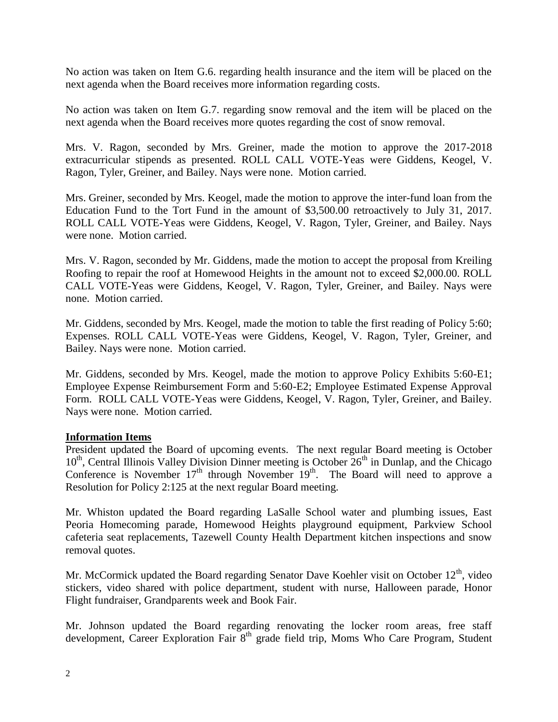No action was taken on Item G.6. regarding health insurance and the item will be placed on the next agenda when the Board receives more information regarding costs.

No action was taken on Item G.7. regarding snow removal and the item will be placed on the next agenda when the Board receives more quotes regarding the cost of snow removal.

Mrs. V. Ragon, seconded by Mrs. Greiner, made the motion to approve the 2017-2018 extracurricular stipends as presented. ROLL CALL VOTE-Yeas were Giddens, Keogel, V. Ragon, Tyler, Greiner, and Bailey. Nays were none. Motion carried.

Mrs. Greiner, seconded by Mrs. Keogel, made the motion to approve the inter-fund loan from the Education Fund to the Tort Fund in the amount of \$3,500.00 retroactively to July 31, 2017. ROLL CALL VOTE-Yeas were Giddens, Keogel, V. Ragon, Tyler, Greiner, and Bailey. Nays were none. Motion carried.

Mrs. V. Ragon, seconded by Mr. Giddens, made the motion to accept the proposal from Kreiling Roofing to repair the roof at Homewood Heights in the amount not to exceed \$2,000.00. ROLL CALL VOTE-Yeas were Giddens, Keogel, V. Ragon, Tyler, Greiner, and Bailey. Nays were none. Motion carried.

Mr. Giddens, seconded by Mrs. Keogel, made the motion to table the first reading of Policy 5:60; Expenses. ROLL CALL VOTE-Yeas were Giddens, Keogel, V. Ragon, Tyler, Greiner, and Bailey. Nays were none. Motion carried.

Mr. Giddens, seconded by Mrs. Keogel, made the motion to approve Policy Exhibits 5:60-E1; Employee Expense Reimbursement Form and 5:60-E2; Employee Estimated Expense Approval Form. ROLL CALL VOTE-Yeas were Giddens, Keogel, V. Ragon, Tyler, Greiner, and Bailey. Nays were none. Motion carried.

## **Information Items**

President updated the Board of upcoming events. The next regular Board meeting is October 10<sup>th</sup>, Central Illinois Valley Division Dinner meeting is October 26<sup>th</sup> in Dunlap, and the Chicago Conference is November  $17<sup>th</sup>$  through November  $19<sup>th</sup>$ . The Board will need to approve a Resolution for Policy 2:125 at the next regular Board meeting.

Mr. Whiston updated the Board regarding LaSalle School water and plumbing issues, East Peoria Homecoming parade, Homewood Heights playground equipment, Parkview School cafeteria seat replacements, Tazewell County Health Department kitchen inspections and snow removal quotes.

Mr. McCormick updated the Board regarding Senator Dave Koehler visit on October  $12<sup>th</sup>$ , video stickers, video shared with police department, student with nurse, Halloween parade, Honor Flight fundraiser, Grandparents week and Book Fair.

Mr. Johnson updated the Board regarding renovating the locker room areas, free staff development, Career Exploration Fair 8<sup>th</sup> grade field trip, Moms Who Care Program, Student